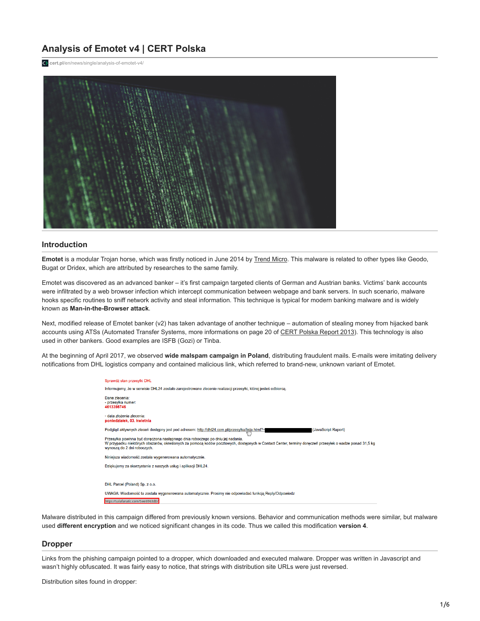# **Analysis of Emotet v4 | CERT Polska**

**cert.pl**[/en/news/single/analysis-of-emotet-v4/](https://www.cert.pl/en/news/single/analysis-of-emotet-v4/)



## **Introduction**

**Emotet** is a modular Trojan horse, which was firstly noticed in June 2014 by [Trend Micro](http://blog.trendmicro.com/trendlabs-security-intelligence/new-banking-malware-uses-network-sniffing-for-data-theft/). This malware is related to other types like Geodo, Bugat or Dridex, which are attributed by researches to the same family.

Emotet was discovered as an advanced banker – it's first campaign targeted clients of German and Austrian banks. Victims' bank accounts were infiltrated by a web browser infection which intercept communication between webpage and bank servers. In such scenario, malware hooks specific routines to sniff network activity and steal information. This technique is typical for modern banking malware and is widely known as **Man-in-the-Browser attack**.

Next, modified release of Emotet banker (v2) has taken advantage of another technique – automation of stealing money from hijacked bank accounts using ATSs (Automated Transfer Systems, more informations on page 20 of [CERT Polska Report 2013](https://www.cert.pl/uploads/2015/11/Report_CP_2013.pdf)). This technology is also used in other bankers. Good examples are ISFB (Gozi) or Tinba.

At the beginning of April 2017, we observed **wide malspam campaign in Poland**, distributing fraudulent mails. E-mails were imitating delivery notifications from DHL logistics company and contained malicious link, which referred to brand-new, unknown variant of Emotet.

| Sprawdż stan przesylki DHL                                                                                                                                                                                                                                             |
|------------------------------------------------------------------------------------------------------------------------------------------------------------------------------------------------------------------------------------------------------------------------|
| Informujemy, że w serwisie DHL24 zostało zarejestrowane zlecenie realizacji przesyłki, której jesteś odbiorca,                                                                                                                                                         |
| Dane zlecenia:<br>- przesyłka numer:<br>4613398746                                                                                                                                                                                                                     |
| - data złożenia zlecenia:<br>poniedziałek, 03. kwietnia                                                                                                                                                                                                                |
| Podgląd aktywnych zleceń dostępny jest pod adresem: http://dhl24.com.pl/przesylka/lista.html?=<br>(JavaScript Raport)                                                                                                                                                  |
| Przesyłka powinna być doreczona nastepnego dnia roboczego po dniu jej nadania.<br>W przypadku niektórych obszarów, określonych za pomocą kodów pocztowych, dostępnych w Contact Center, terminy doręczeń przesyłek o wadze ponad 31,5 k<br>wynoszą do 2 dni roboczych. |
| Niniejsza wiadomość została wygenerowana automatycznie.                                                                                                                                                                                                                |
| Dziękujemy za skorzystanie z naszych usług i aplikacji DHL24.                                                                                                                                                                                                          |
|                                                                                                                                                                                                                                                                        |
| DHL Parcel (Poland) Sp. z o.o.                                                                                                                                                                                                                                         |
| UWAGA: Wiadomość ta została wygenerowana automatycznie. Prosimy nie odpowiadać funkcją Reply/Odpowiedz                                                                                                                                                                 |
| https://salafanatic.com/Swe6963dD/                                                                                                                                                                                                                                     |

Malware distributed in this campaign differed from previously known versions. Behavior and communication methods were similar, but malware used **different encryption** and we noticed significant changes in its code. Thus we called this modification **version 4**.

#### **Dropper**

Links from the phishing campaign pointed to a dropper, which downloaded and executed malware. Dropper was written in Javascript and wasn't highly obfuscated. It was fairly easy to notice, that strings with distribution site URLs were just reversed.

Distribution sites found in dropper: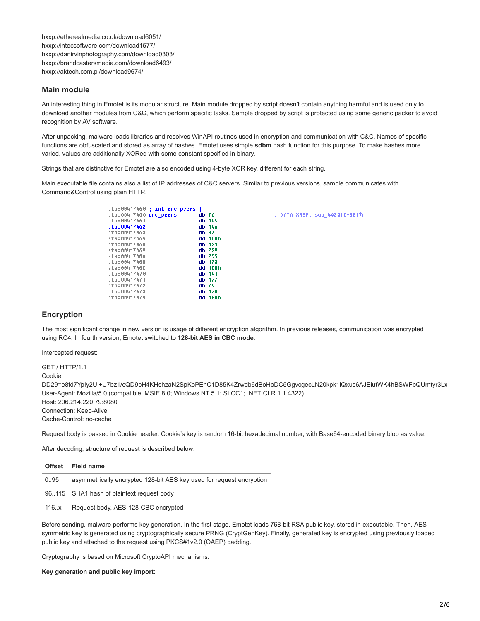hxxp://etherealmedia.co.uk/download6051/ hxxp://intecsoftware.com/download1577/ hxxp://danirvinphotography.com/download0303/ hxxp://brandcastersmedia.com/download6493/ hxxp://aktech.com.pl/download9674/

## **Main module**

An interesting thing in Emotet is its modular structure. Main module dropped by script doesn't contain anything harmful and is used only to download another modules from C&C, which perform specific tasks. Sample dropped by script is protected using some generic packer to avoid recognition by AV software.

After unpacking, malware loads libraries and resolves WinAPI routines used in encryption and communication with C&C. Names of specific functions are obfuscated and stored as array of hashes. Emotet uses simple **[sdbm](http://www.cse.yorku.ca/~oz/hash.html)** hash function for this purpose. To make hashes more varied, values are additionally XORed with some constant specified in binary.

Strings that are distinctive for Emotet are also encoded using 4-byte XOR key, different for each string.

Main executable file contains also a list of IP addresses of C&C servers. Similar to previous versions, sample communicates with Command&Control using plain HTTP.

| ta:00417460           | ; int cnc peers[] |         |
|-----------------------|-------------------|---------|
| ta:00417460 cnc peers |                   | db 76   |
| ta:00417461           |                   | db 105  |
| ta:00417462           |                   | db 106  |
| ta:00417463           |                   | db 87   |
| ta:00417464           |                   | dd 1BBh |
| ta:00417468           |                   | db 121  |
| ta:00417469           |                   | dh 229  |
| ta:0041746A           |                   | dh 255  |
| ta:0041746B           |                   | dh 173  |
| ta:0041746C           |                   | dd 1BBh |
| ta:00417470           |                   | dh 141  |
| ta:00417471           |                   | dh 177  |
| ta:00417472           |                   | db 79   |
| ta:00417473           |                   | db 178  |
| ta:00417474           |                   | dd 1BBh |
|                       |                   |         |

; DATA XREF: sub 403010+3B1Tr

# **Encryption**

The most significant change in new version is usage of different encryption algorithm. In previous releases, communication was encrypted using RC4. In fourth version, Emotet switched to **128-bit AES in CBC mode**.

Intercepted request:

GET / HTTP/1.1 Cookie: DD29=e8fd7YpIy2Ui+U7bz1/cQD9bH4KHshzaN2SpKoPEnC1D85K4Zrwdb6dBoHoDC5GgvcgecLN20kpk1lQxus6AJEiutWK4hBSWFbQUmtyr3Lx User-Agent: Mozilla/5.0 (compatible; MSIE 8.0; Windows NT 5.1; SLCC1; .NET CLR 1.1.4322) Host: 206.214.220.79:8080 Connection: Keep-Alive Cache-Control: no-cache

Request body is passed in Cookie header. Cookie's key is random 16-bit hexadecimal number, with Base64-encoded binary blob as value.

After decoding, structure of request is described below:

|      | Offset Field name                                                    |
|------|----------------------------------------------------------------------|
| 095  | asymmetrically encrypted 128-bit AES key used for request encryption |
|      | 96.115 SHA1 hash of plaintext request body                           |
| 116x | Request body, AES-128-CBC encrypted                                  |

Before sending, malware performs key generation. In the first stage, Emotet loads 768-bit RSA public key, stored in executable. Then, AES symmetric key is generated using cryptographically secure PRNG (CryptGenKey). Finally, generated key is encrypted using previously loaded public key and attached to the request using PKCS#1v2.0 (OAEP) padding.

Cryptography is based on Microsoft CryptoAPI mechanisms.

**Key generation and public key import**: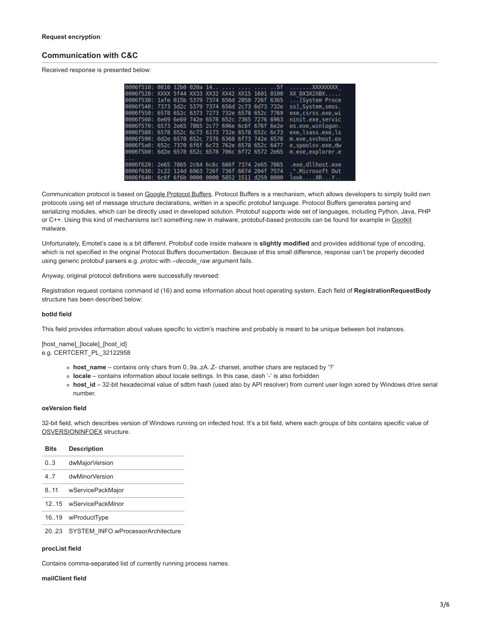# **Communication with C&C**

Received response is presented below:

| 0006f510: 0810 12b0 020a 14    5f                 |  |  |  |  | $\ldots \ldots$ . XXXXXXXXX |
|---------------------------------------------------|--|--|--|--|-----------------------------|
| 0006f520: XXXX 5f44 XX33 XX32 XX42 XX15 1601 0100 |  |  |  |  | XX DX3X2XBX                 |
| 0006f530: 1afe 015b 5379 7374 656d 2050 726f 6365 |  |  |  |  | [System Proce               |
| 0006f540: 7373 5d2c 5379 7374 656d 2c73 6d73 732e |  |  |  |  | ss], System, smss.          |
| 0006f550: 6578 652c 6373 7273 732e 6578 652c 7769 |  |  |  |  | exe, csrss.exe, wi          |
| 0006f560: 6e69 6e69 742e 6578 652c 7365 7276 6963 |  |  |  |  | ninit.exe, servic           |
| 0006f570: 6573 2e65 7865 2c77 696e 6c6f 676f 6e2e |  |  |  |  | es.exe, winlogon.           |
| 0006f580: 6578 652c 6c73 6173 732e 6578 652c 6c73 |  |  |  |  | exe, lsass.exe, ls          |
| 0006f590: 6d2e 6578 652c 7376 6368 6f73 742e 6578 |  |  |  |  | m.exe, svchost.ex           |
| 0006f5a0: 652c 7370 6f6f 6c73 762e 6578 652c 6477 |  |  |  |  | e, spoolsv.exe, dw          |
| 0006f5b0: 6d2e 6578 652c 6578 706c 6f72 6572 2e65 |  |  |  |  | m.exe,explorer.e            |
|                                                   |  |  |  |  |                             |
| 0006f620: 2e65 7865 2c64 6c6c 686f 7374 2e65 7865 |  |  |  |  | .exe.dllhost.exe            |
| 0006f630: 2c22 124d 6963 726f 736f 6674 204f 7574 |  |  |  |  | .".Microsoft Out            |
| 0006f640: 6c6f 6f6b 0000 0000 5852 1511 d259 0000 |  |  |  |  | lookXRY                     |

Communication protocol is based on [Google Protocol Buffers](https://developers.google.com/protocol-buffers). Protocol Buffers is a mechanism, which allows developers to simply build own protocols using set of message structure declarations, written in a specific protobuf language. Protocol Buffers generates parsing and serializing modules, which can be directly used in developed solution. Protobuf supports wide set of languages, including Python, Java, PHP or C++. Using this kind of mechanisms isn't something new in malware, protobuf-based protocols can be found for example in [Gootkit](https://securelist.com/blog/research/76433/inside-the-gootkit-cc-server/) malware.

Unfortunately, Emotet's case is a bit different. Protobuf code inside malware is **slightly modified** and provides additional type of encoding, which is not specified in the original Protocol Buffers documentation. Because of this small difference, response can't be properly decoded using generic protobuf parsers e.g. *protoc* with *–decode\_raw* argument fails.

Anyway, original protocol definitions were successfully reversed:

Registration request contains command id (16) and some information about host operating system. Each field of **RegistrationRequestBody** structure has been described below:

#### **botId field**

This field provides information about values specific to victim's machine and probably is meant to be unique between bot instances.

[host\_name]\_[locale]\_[host\_id] e.g. CERTCERT\_PL\_32122958

- **host\_name** contains only chars from 0..9a..zA..Z- charset, another chars are replaced by '?'
- **locale** contains information about locale settings. In this case, dash '-' is also forbidden
- **host\_id** 32-bit hexadecimal value of sdbm hash (used also by API resolver) from current user login xored by Windows drive serial number.

#### **osVersion field**

32-bit field, which describes version of Windows running on infected host. It's a bit field, where each groups of bits contains specific value of [OSVERSIONINFOEX](https://msdn.microsoft.com/en-us/library/windows/desktop/ms724833.aspx) structure.

| <b>Bits</b> | <b>Description</b>                 |
|-------------|------------------------------------|
| 0.3         | dwMajorVersion                     |
| 47          | dwMinorVersion                     |
| 8.11        | wServicePackMajor                  |
| 1215        | wServicePackMinor                  |
|             | 16.19 wProductType                 |
| 20.23       | SYSTEM INFO.wProcessorArchitecture |

#### **procList field**

Contains comma-separated list of currently running process names.

### **mailClient field**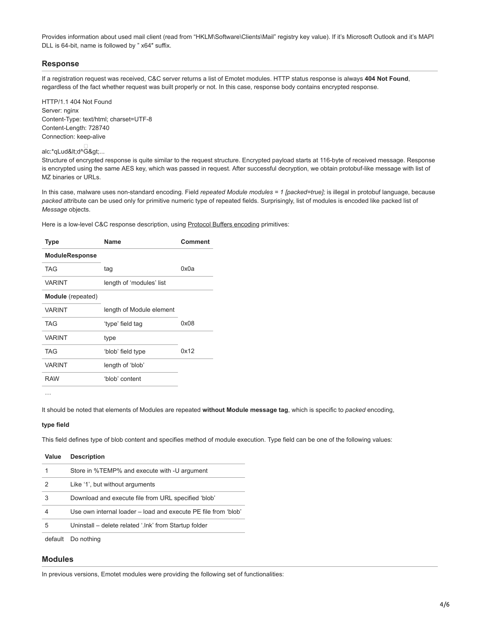Provides information about used mail client (read from "HKLM\Software\Clients\Mail" registry key value). If it's Microsoft Outlook and it's MAPI DLL is 64-bit, name is followed by " x64″ suffix.

# **Response**

If a registration request was received, C&C server returns a list of Emotet modules. HTTP status response is always **404 Not Found**, regardless of the fact whether request was built properly or not. In this case, response body contains encrypted response.

HTTP/1.1 404 Not Found Server: nginx Content-Type: text/html; charset=UTF-8 Content-Length: 728740 Connection: keep-alive

# ⊟<br>alc:\*qLud&lt;d^G&gt;...

Structure of encrypted response is quite similar to the request structure. Encrypted payload starts at 116-byte of received message. Response is encrypted using the same AES key, which was passed in request. After successful decryption, we obtain protobuf-like message with list of MZ binaries or URLs.

In this case, malware uses non-standard encoding. Field *repeated Module modules = 1 [packed=true];* is illegal in protobuf language, because *packed* attribute can be used only for primitive numeric type of repeated fields. Surprisingly, list of modules is encoded like packed list of *Message* objects.

Here is a low-level C&C response description, using [Protocol Buffers encoding](https://developers.google.com/protocol-buffers/docs/encoding) primitives:

| <b>Type</b>           | <b>Name</b>              | Comment |
|-----------------------|--------------------------|---------|
| <b>ModuleResponse</b> |                          |         |
| <b>TAG</b>            | tag                      | 0x0a    |
| <b>VARINT</b>         | length of 'modules' list |         |
| Module (repeated)     |                          |         |
| <b>VARINT</b>         | length of Module element |         |
| <b>TAG</b>            | 'type' field tag         | 0x08    |
| <b>VARINT</b>         | type                     |         |
| TAG                   | 'blob' field type        | 0x12    |
| <b>VARINT</b>         | length of 'blob'         |         |
| <b>RAW</b>            | 'blob' content           |         |
|                       |                          |         |

…

It should be noted that elements of Modules are repeated **without Module message tag**, which is specific to *packed* encoding,

#### **type field**

This field defines type of blob content and specifies method of module execution. Type field can be one of the following values:

| Value    | <b>Description</b>                                             |
|----------|----------------------------------------------------------------|
|          | Store in %TEMP% and execute with -U argument                   |
| 2        | Like '1', but without arguments                                |
| 3        | Download and execute file from URL specified 'blob'            |
| 4        | Use own internal loader – load and execute PE file from 'blob' |
| 5        | Uninstall – delete related '.lnk' from Startup folder          |
| dofoult. | Do pothing                                                     |

default Do nothing

### **Modules**

In previous versions, Emotet modules were providing the following set of functionalities: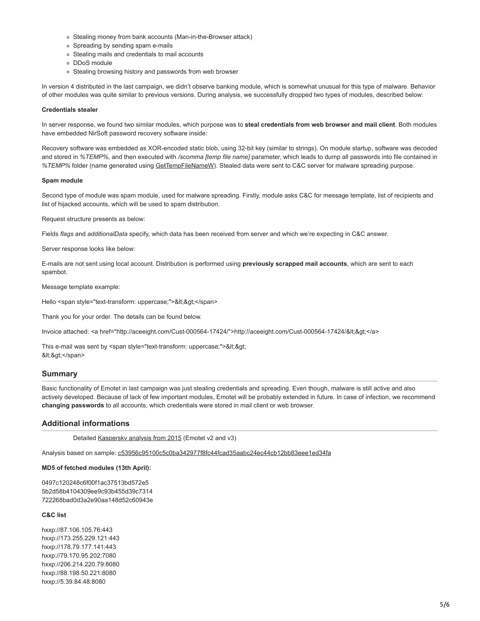- Stealing money from bank accounts (Man-in-the-Browser attack)
- Spreading by sending spam e-mails
- Stealing mails and credentials to mail accounts
- DDoS module
- o Stealing browsing history and passwords from web browser

In version 4 distributed in the last campaign, we didn't observe banking module, which is somewhat unusual for this type of malware. Behavior of other modules was quite similar to previous versions. During analysis, we successfully dropped two types of modules, described below:

#### **Credentials stealer**

In server response, we found two similar modules, which purpose was to **steal credentials from web browser and mail client**. Both modules have embedded NirSoft password recovery software inside:

Recovery software was embedded as XOR-encoded static blob, using 32-bit key (similar to strings). On module startup, software was decoded and stored in *%TEMP%*, and then executed with */scomma [temp file name]* parameter, which leads to dump all passwords into file contained in *%TEMP%* folder (name generated using [GetTempFileNameW\)](https://msdn.microsoft.com/en-us/library/windows/desktop/aa364991.aspx). Stealed data were sent to C&C server for malware spreading purpose.

#### **Spam module**

Second type of module was spam module, used for malware spreading. Firstly, module asks C&C for message template, list of recipients and list of hijacked accounts, which will be used to spam distribution.

Request structure presents as below:

Fields *flags* and *additionalData* specify, which data has been received from server and which we're expecting in C&C answer.

Server response looks like below:

E-mails are not sent using local account. Distribution is performed using **previously scrapped mail accounts**, which are sent to each spambot.

Message template example:

Hello <span style="text-transform: uppercase;">&lt;&gt;</span>

Thank you for your order. The details can be found below.

Invoice attached: <a href="http://aceeight.com/Cust-000564-17424/">http://aceeight.com/Cust-000564-17424/&lt;&gt;</a>

This e-mail was sent by <span style="text-transform: uppercase;">&lt;&gt; <&gt;</span>

# **Summary**

Basic functionality of Emotet in last campaign was just stealing credentials and spreading. Even though, malware is still active and also actively developed. Because of lack of few important modules, Emotet will be probably extended in future. In case of infection, we recommend **changing passwords** to all accounts, which credentials were stored in mail client or web browser.

# **Additional informations**

Detailed [Kaspersky analysis from 2015](https://securelist.com/analysis/publications/69560/the-banking-trojan-emotet-detailed-analysis/) (Emotet v2 and v3)

Analysis based on sample: [c53956c95100c5c0ba342977f8fc44fcad35aabc24ec44cb12bb83eee1ed34fa](https://virustotal.com/en/file/c53956c95100c5c0ba342977f8fc44fcad35aabc24ec44cb12bb83eee1ed34fa/analysis/)

#### **MD5 of fetched modules (13th April):**

0497c120248c6f00f1ac37513bd572e5 5b2d58b4104309ee9c93b455d39c7314 722268bad0d3a2e90aa148d52c60943e

## **C&C list**

hxxp://87.106.105.76:443 hxxp://173.255.229.121:443 hxxp://178.79.177.141:443 hxxp://79.170.95.202:7080 hxxp://206.214.220.79:8080 hxxp://88.198.50.221:8080 hxxp://5.39.84.48:8080